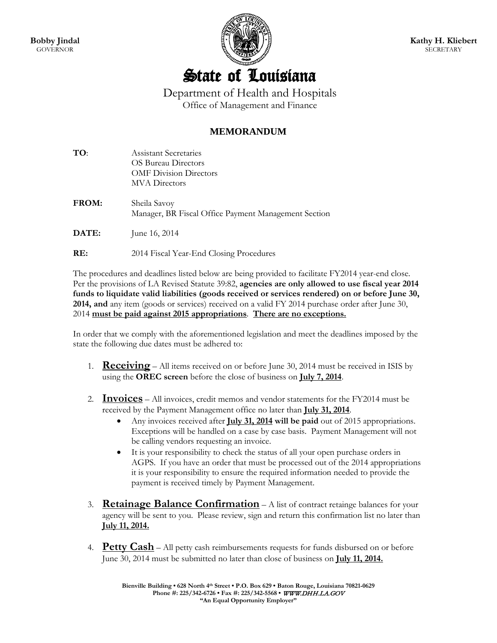

## State of Louisiana

Department of Health and Hospitals Office of Management and Finance

## **MEMORANDUM**

| TO:          | Assistant Secretaries<br>OS Bureau Directors<br><b>OMF Division Directors</b><br><b>MVA</b> Directors |
|--------------|-------------------------------------------------------------------------------------------------------|
| <b>FROM:</b> | Sheila Savoy<br>Manager, BR Fiscal Office Payment Management Section                                  |
| DATE:        | June 16, 2014                                                                                         |
| RE:          | 2014 Fiscal Year-End Closing Procedures                                                               |

The procedures and deadlines listed below are being provided to facilitate FY2014 year-end close. Per the provisions of LA Revised Statute 39:82, **agencies are only allowed to use fiscal year 2014 funds to liquidate valid liabilities (goods received or services rendered) on or before June 30, 2014, and** any item (goods or services) received on a valid FY 2014 purchase order after June 30, 2014 **must be paid against 2015 appropriations**. **There are no exceptions.**

In order that we comply with the aforementioned legislation and meet the deadlines imposed by the state the following due dates must be adhered to:

- 1. **Receiving** All items received on or before June 30, 2014 must be received in ISIS by using the **OREC screen** before the close of business on **July 7, 2014**.
- 2. **Invoices** All invoices, credit memos and vendor statements for the FY2014 must be received by the Payment Management office no later than **July 31, 2014**.
	- Any invoices received after **July 31, 2014 will be paid** out of 2015 appropriations. Exceptions will be handled on a case by case basis. Payment Management will not be calling vendors requesting an invoice.
	- It is your responsibility to check the status of all your open purchase orders in AGPS. If you have an order that must be processed out of the 2014 appropriations it is your responsibility to ensure the required information needed to provide the payment is received timely by Payment Management.
- 3. **Retainage Balance Confirmation** A list of contract retainge balances for your agency will be sent to you. Please review, sign and return this confirmation list no later than **July 11, 2014.**
- 4. **Petty Cash** All petty cash reimbursements requests for funds disbursed on or before June 30, 2014 must be submitted no later than close of business on **July 11, 2014.**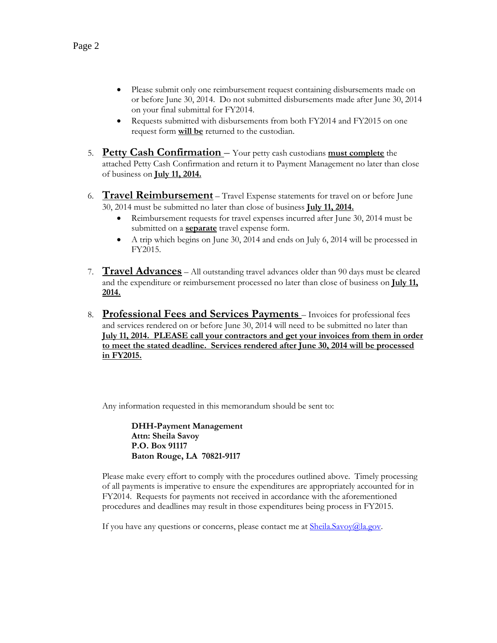- Please submit only one reimbursement request containing disbursements made on or before June 30, 2014. Do not submitted disbursements made after June 30, 2014 on your final submittal for FY2014.
- Requests submitted with disbursements from both FY2014 and FY2015 on one request form **will be** returned to the custodian.
- 5. **Petty Cash Confirmation**  Your petty cash custodians **must complete** the attached Petty Cash Confirmation and return it to Payment Management no later than close of business on **July 11, 2014.**
- 6. **Travel Reimbursement** Travel Expense statements for travel on or before June 30, 2014 must be submitted no later than close of business **July 11, 2014.**
	- Reimbursement requests for travel expenses incurred after June 30, 2014 must be submitted on a **separate** travel expense form.
	- A trip which begins on June 30, 2014 and ends on July 6, 2014 will be processed in FY2015.
- 7. **Travel Advances** All outstanding travel advances older than 90 days must be cleared and the expenditure or reimbursement processed no later than close of business on **July 11, 2014.**
- 8. **Professional Fees and Services Payments**  Invoices for professional fees and services rendered on or before June 30, 2014 will need to be submitted no later than **July 11, 2014. PLEASE call your contractors and get your invoices from them in order to meet the stated deadline. Services rendered after June 30, 2014 will be processed in FY2015.**

Any information requested in this memorandum should be sent to:

**DHH-Payment Management Attn: Sheila Savoy P.O. Box 91117 Baton Rouge, LA 70821-9117**

Please make every effort to comply with the procedures outlined above. Timely processing of all payments is imperative to ensure the expenditures are appropriately accounted for in FY2014. Requests for payments not received in accordance with the aforementioned procedures and deadlines may result in those expenditures being process in FY2015.

If you have any questions or concerns, please contact me at **Sheila.Savoy@la.gov**.